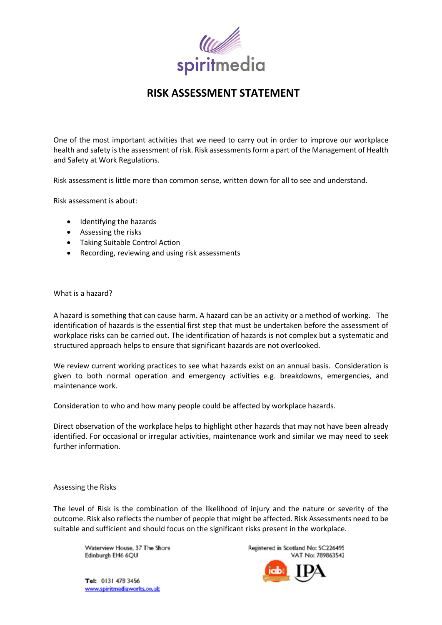

# **RISK ASSESSMENT STATEMENT**

One of the most important activities that we need to carry out in order to improve our workplace health and safety is the assessment of risk. Risk assessments form a part of the Management of Health and Safety at Work Regulations.

Risk assessment is little more than common sense, written down for all to see and understand.

Risk assessment is about:

- Identifying the hazards
- Assessing the risks
- Taking Suitable Control Action
- Recording, reviewing and using risk assessments

#### What is a hazard?

A hazard is something that can cause harm. A hazard can be an activity or a method of working. The identification of hazards is the essential first step that must be undertaken before the assessment of workplace risks can be carried out. The identification of hazards is not complex but a systematic and structured approach helps to ensure that significant hazards are not overlooked.

We review current working practices to see what hazards exist on an annual basis. Consideration is given to both normal operation and emergency activities e.g. breakdowns, emergencies, and maintenance work.

Consideration to who and how many people could be affected by workplace hazards.

Direct observation of the workplace helps to highlight other hazards that may not have been already identified. For occasional or irregular activities, maintenance work and similar we may need to seek further information.

## Assessing the Risks

The level of Risk is the combination of the likelihood of injury and the nature or severity of the outcome. Risk also reflects the number of people that might be affected. Risk Assessments need to be suitable and sufficient and should focus on the significant risks present in the workplace.

Waterview House, 37 The Shore Edinburgh EH6 6QU

Registered in Scotland No: SC226495 VAT No: 789863547

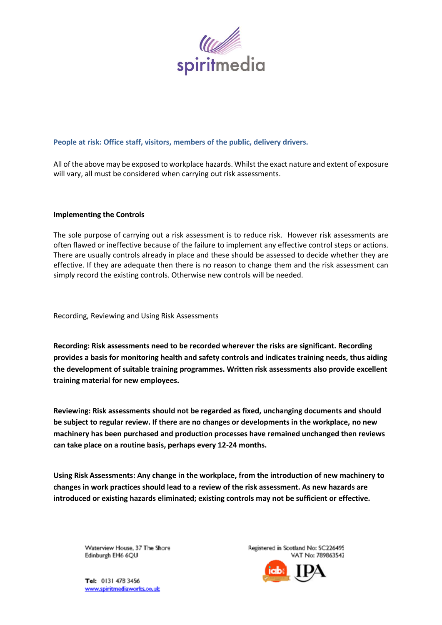

## **People at risk: Office staff, visitors, members of the public, delivery drivers.**

All of the above may be exposed to workplace hazards. Whilst the exact nature and extent of exposure will vary, all must be considered when carrying out risk assessments.

#### **Implementing the Controls**

The sole purpose of carrying out a risk assessment is to reduce risk. However risk assessments are often flawed or ineffective because of the failure to implement any effective control steps or actions. There are usually controls already in place and these should be assessed to decide whether they are effective. If they are adequate then there is no reason to change them and the risk assessment can simply record the existing controls. Otherwise new controls will be needed.

Recording, Reviewing and Using Risk Assessments

**Recording: Risk assessments need to be recorded wherever the risks are significant. Recording provides a basis for monitoring health and safety controls and indicates training needs, thus aiding the development of suitable training programmes. Written risk assessments also provide excellent training material for new employees.** 

**Reviewing: Risk assessments should not be regarded as fixed, unchanging documents and should be subject to regular review. If there are no changes or developments in the workplace, no new machinery has been purchased and production processes have remained unchanged then reviews can take place on a routine basis, perhaps every 12-24 months.**

**Using Risk Assessments: Any change in the workplace, from the introduction of new machinery to changes in work practices should lead to a review of the risk assessment. As new hazards are introduced or existing hazards eliminated; existing controls may not be sufficient or effective.** 

Waterview House, 37 The Shore Edinburgh EH6 6QU

Registered in Scotland No: SC226495 VAT No: 789863547

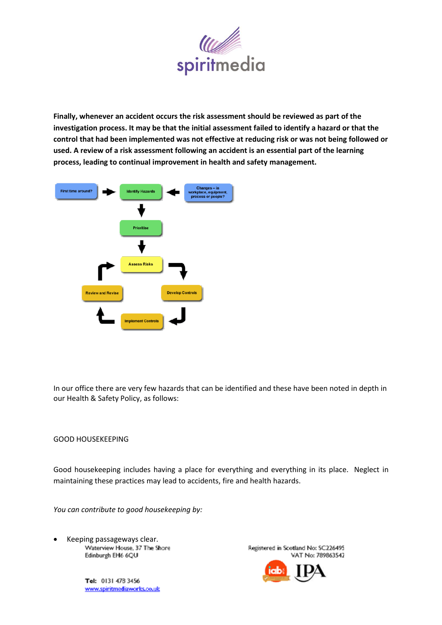

**Finally, whenever an accident occurs the risk assessment should be reviewed as part of the investigation process. It may be that the initial assessment failed to identify a hazard or that the control that had been implemented was not effective at reducing risk or was not being followed or used. A review of a risk assessment following an accident is an essential part of the learning process, leading to continual improvement in health and safety management.**



In our office there are very few hazards that can be identified and these have been noted in depth in our Health & Safety Policy, as follows:

#### GOOD HOUSEKEEPING

Good housekeeping includes having a place for everything and everything in its place. Neglect in maintaining these practices may lead to accidents, fire and health hazards.

*You can contribute to good housekeeping by:*

• Keeping passageways clear.Edinburgh EH6 6QU

> Tel: 0131 478 3456 www.spiritmediaworks.co.uk

Registered in Scotland No: SC226495 VAT No: 789863542

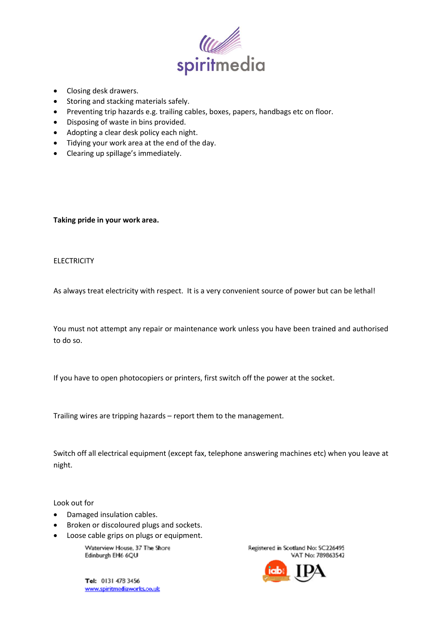

- Closing desk drawers.
- Storing and stacking materials safely.
- Preventing trip hazards e.g. trailing cables, boxes, papers, handbags etc on floor.
- Disposing of waste in bins provided.
- Adopting a clear desk policy each night.
- Tidying your work area at the end of the day.
- Clearing up spillage's immediately.

**Taking pride in your work area.**

## **ELECTRICITY**

As always treat electricity with respect. It is a very convenient source of power but can be lethal!

You must not attempt any repair or maintenance work unless you have been trained and authorised to do so.

If you have to open photocopiers or printers, first switch off the power at the socket.

Trailing wires are tripping hazards – report them to the management.

Switch off all electrical equipment (except fax, telephone answering machines etc) when you leave at night.

Look out for

- Damaged insulation cables.
- Broken or discoloured plugs and sockets.
- Loose cable grips on plugs or equipment.

Waterview House, 37 The Shore Edinburgh EH6 6QU

Tel: 0131 478 3456 www.spiritmediaworks.co.uk Registered in Scotland No: SC226495 VAT No: 789863542

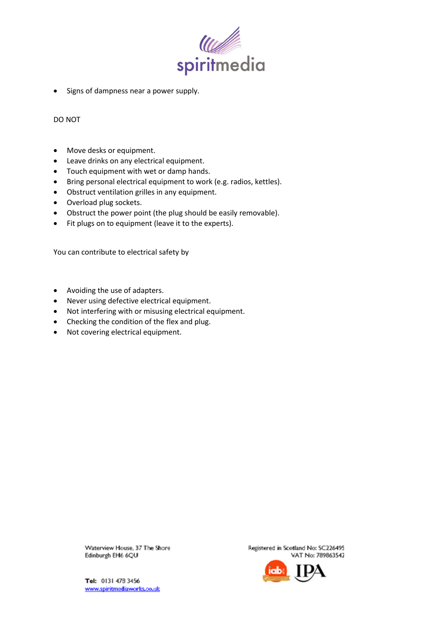

• Signs of dampness near a power supply.

DO NOT

- Move desks or equipment.
- Leave drinks on any electrical equipment.
- Touch equipment with wet or damp hands.
- Bring personal electrical equipment to work (e.g. radios, kettles).
- Obstruct ventilation grilles in any equipment.
- Overload plug sockets.
- Obstruct the power point (the plug should be easily removable).
- Fit plugs on to equipment (leave it to the experts).

You can contribute to electrical safety by

- Avoiding the use of adapters.
- Never using defective electrical equipment.
- Not interfering with or misusing electrical equipment.
- Checking the condition of the flex and plug.
- Not covering electrical equipment.

Waterview House, 37 The Shore Edinburgh EH6 6QU

Registered in Scotland No: SC226495 VAT No: 789863542

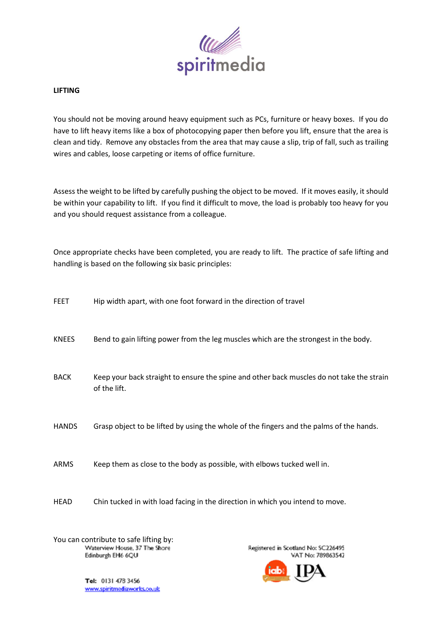

### **LIFTING**

You should not be moving around heavy equipment such as PCs, furniture or heavy boxes. If you do have to lift heavy items like a box of photocopying paper then before you lift, ensure that the area is clean and tidy. Remove any obstacles from the area that may cause a slip, trip of fall, such as trailing wires and cables, loose carpeting or items of office furniture.

Assess the weight to be lifted by carefully pushing the object to be moved. If it moves easily, it should be within your capability to lift. If you find it difficult to move, the load is probably too heavy for you and you should request assistance from a colleague.

Once appropriate checks have been completed, you are ready to lift. The practice of safe lifting and handling is based on the following six basic principles:

| FEET         | Hip width apart, with one foot forward in the direction of travel                                         |
|--------------|-----------------------------------------------------------------------------------------------------------|
| <b>KNEES</b> | Bend to gain lifting power from the leg muscles which are the strongest in the body.                      |
| <b>BACK</b>  | Keep your back straight to ensure the spine and other back muscles do not take the strain<br>of the lift. |
| <b>HANDS</b> | Grasp object to be lifted by using the whole of the fingers and the palms of the hands.                   |
| ARMS         | Keep them as close to the body as possible, with elbows tucked well in.                                   |
| HEAD         | Chin tucked in with load facing in the direction in which you intend to move.                             |
|              |                                                                                                           |

You can contribute to safe lifting by:<br>Waterview House, 37 The Shore Edinburgh EH6 6QU

Registered in Scotland No: SC226495 VAT No: 789863542

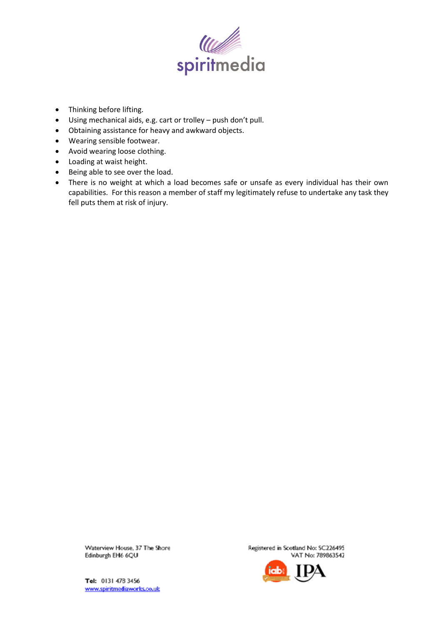

- Thinking before lifting.
- Using mechanical aids, e.g. cart or trolley push don't pull.
- Obtaining assistance for heavy and awkward objects.
- Wearing sensible footwear.
- Avoid wearing loose clothing.
- Loading at waist height.
- Being able to see over the load.
- There is no weight at which a load becomes safe or unsafe as every individual has their own capabilities. For this reason a member of staff my legitimately refuse to undertake any task they fell puts them at risk of injury.

Waterview House, 37 The Shore Edinburgh EH6 6QU

Registered in Scotland No: SC226495 VAT No: 789863542